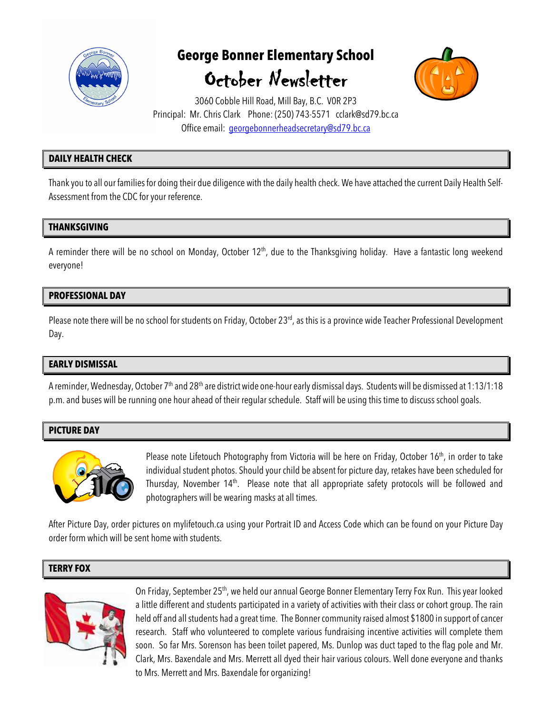

# **George Bonner Elementary School**  October Newsletter



3060 Cobble Hill Road, Mill Bay, B.C. V0R 2P3 Principal: Mr. Chris Clark Phone: (250) 743-5571 cclark@sd79.bc.ca Office email: georgebonnerheadsecretary@sd79.bc.ca

# **DAILY HEALTH CHECK**

Thank you to all our families for doing their due diligence with the daily health check. We have attached the current Daily Health Self-Assessment from the CDC for your reference.

# **THANKSGIVING**

A reminder there will be no school on Monday, October 12<sup>th</sup>, due to the Thanksgiving holiday. Have a fantastic long weekend everyone!

# **PROFESSIONAL DAY**

Please note there will be no school for students on Friday, October 23<sup>rd</sup>, as this is a province wide Teacher Professional Development Day.

## **EARLY DISMISSAL**

A reminder, Wednesday, October 7<sup>th</sup> and 28<sup>th</sup> are district wide one-hour early dismissal days. Students will be dismissed at 1:13/1:18 p.m. and buses will be running one hour ahead of their regular schedule. Staff will be using this time to discuss school goals.

# **PICTURE DAY**



Please note Lifetouch Photography from Victoria will be here on Friday, October 16<sup>th</sup>, in order to take individual student photos. Should your child be absent for picture day, retakes have been scheduled for Thursday, November 14<sup>th</sup>. Please note that all appropriate safety protocols will be followed and photographers will be wearing masks at all times.

After Picture Day, order pictures on mylifetouch.ca using your Portrait ID and Access Code which can be found on your Picture Day order form which will be sent home with students.

#### **TERRY FOX**



On Friday, September 25<sup>th</sup>, we held our annual George Bonner Elementary Terry Fox Run. This year looked a little different and students participated in a variety of activities with their class or cohort group. The rain held off and all students had a great time. The Bonner community raised almost \$1800 in support of cancer research. Staff who volunteered to complete various fundraising incentive activities will complete them soon. So far Mrs. Sorenson has been toilet papered, Ms. Dunlop was duct taped to the flag pole and Mr. Clark, Mrs. Baxendale and Mrs. Merrett all dyed their hair various colours. Well done everyone and thanks to Mrs. Merrett and Mrs. Baxendale for organizing!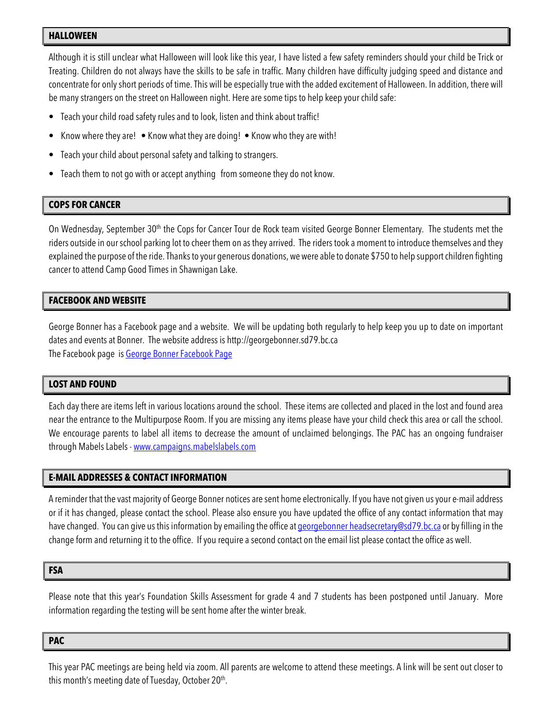#### **HALLOWEEN**

Although it is still unclear what Halloween will look like this year, I have listed a few safety reminders should your child be Trick or Treating. Children do not always have the skills to be safe in traffic. Many children have difficulty judging speed and distance and concentrate for only short periods of time. This will be especially true with the added excitement of Halloween. In addition, there will be many strangers on the street on Halloween night. Here are some tips to help keep your child safe:

- Teach your child road safety rules and to look, listen and think about traffic!
- Know where they are! Know what they are doing! Know who they are with!
- Teach your child about personal safety and talking to strangers.
- Teach them to not go with or accept anything from someone they do not know.

# **COPS FOR CANCER**

On Wednesday, September 30<sup>th</sup> the Cops for Cancer Tour de Rock team visited George Bonner Elementary. The students met the riders outside in our school parking lot to cheer them on as they arrived. The riders took a moment to introduce themselves and they explained the purpose of the ride. Thanks to your generous donations, we were able to donate \$750 to help support children fighting cancer to attend Camp Good Times in Shawnigan Lake.

# **FACEBOOK AND WEBSITE**

George Bonner has a Facebook page and a website. We will be updating both regularly to help keep you up to date on important dates and events at Bonner. The website address is http://georgebonner.sd79.bc.ca The Facebook page is George Bonner Facebook Page

## **LOST AND FOUND**

Each day there are items left in various locations around the school. These items are collected and placed in the lost and found area near the entrance to the Multipurpose Room. If you are missing any items please have your child check this area or call the school. We encourage parents to label all items to decrease the amount of unclaimed belongings. The PAC has an ongoing fundraiser through Mabels Labels - www.campaigns.mabelslabels.com

## **E-MAIL ADDRESSES & CONTACT INFORMATION**

A reminder that the vast majority of George Bonner notices are sent home electronically. If you have not given us your e-mail address or if it has changed, please contact the school. Please also ensure you have updated the office of any contact information that may have changed. You can give us this information by emailing the office at georgebonner headsecretary@sd79.bc.ca or by filling in the change form and returning it to the office. If you require a second contact on the email list please contact the office as well.

#### **FSA**

Please note that this year's Foundation Skills Assessment for grade 4 and 7 students has been postponed until January. More information regarding the testing will be sent home after the winter break.

**PAC**

This year PAC meetings are being held via zoom. All parents are welcome to attend these meetings. A link will be sent out closer to this month's meeting date of Tuesday, October 20<sup>th</sup>.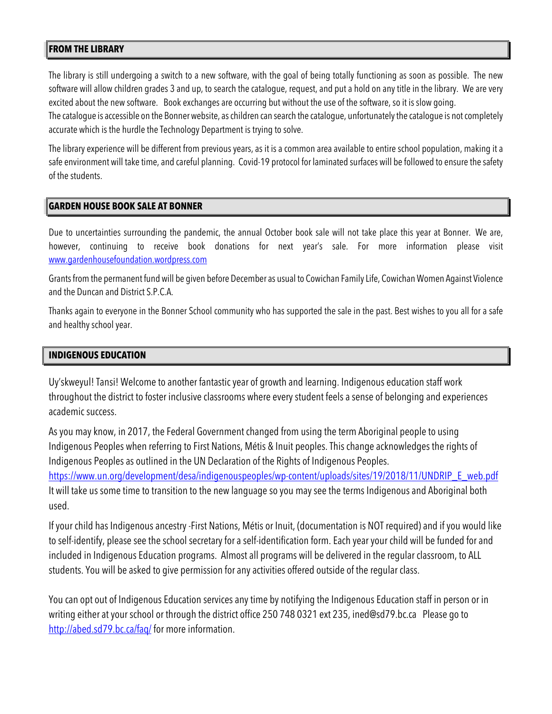## **FROM THE LIBRARY**

The library is still undergoing a switch to a new software, with the goal of being totally functioning as soon as possible. The new software will allow children grades 3 and up, to search the catalogue, request, and put a hold on any title in the library. We are very excited about the new software. Book exchanges are occurring but without the use of the software, so it is slow going.

The catalogue is accessible on the Bonner website, as children can search the catalogue, unfortunately the catalogue is not completely accurate which is the hurdle the Technology Department is trying to solve.

The library experience will be different from previous years, as it is a common area available to entire school population, making it a safe environment will take time, and careful planning. Covid-19 protocol for laminated surfaces will be followed to ensure the safety of the students.

#### **GARDEN HOUSE BOOK SALE AT BONNER**

Due to uncertainties surrounding the pandemic, the annual October book sale will not take place this year at Bonner. We are, however, continuing to receive book donations for next year's sale. For more information please visit www.gardenhousefoundation.wordpress.com

Grants from the permanent fund will be given before December as usual to Cowichan Family Life, Cowichan Women Against Violence and the Duncan and District S.P.C.A.

Thanks again to everyone in the Bonner School community who has supported the sale in the past. Best wishes to you all for a safe and healthy school year.

#### **INDIGENOUS EDUCATION**

Uy'skweyul! Tansi! Welcome to another fantastic year of growth and learning. Indigenous education staff work throughout the district to foster inclusive classrooms where every student feels a sense of belonging and experiences academic success.

As you may know, in 2017, the Federal Government changed from using the term Aboriginal people to using Indigenous Peoples when referring to First Nations, Métis & Inuit peoples. This change acknowledges the rights of Indigenous Peoples as outlined in the UN Declaration of the Rights of Indigenous Peoples. https://www.un.org/development/desa/indigenouspeoples/wp-content/uploads/sites/19/2018/11/UNDRIP\_E\_web.pdf It will take us some time to transition to the new language so you may see the terms Indigenous and Aboriginal both used.

If your child has Indigenous ancestry -First Nations, Métis or Inuit, (documentation is NOT required) and if you would like to self-identify, please see the school secretary for a self-identification form. Each year your child will be funded for and included in Indigenous Education programs. Almost all programs will be delivered in the regular classroom, to ALL students. You will be asked to give permission for any activities offered outside of the regular class.

You can opt out of Indigenous Education services any time by notifying the Indigenous Education staff in person or in writing either at your school or through the district office 250 748 0321 ext 235, ined@sd79.bc.ca Please go to http://abed.sd79.bc.ca/faq/ for more information.